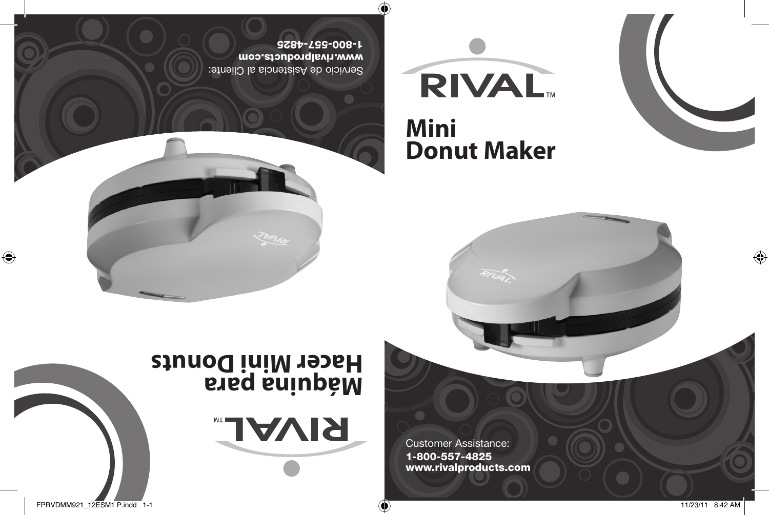FPRVDMM921\_12ESM1 P.indd 1-1 11/23/11 8:42 AM

Customer Assistance: 1-800-557-4825 www.rivalproducts.com

# **Hacer Mini Donuts**



**RIVAL** 



 $\bigoplus$ 

**Mini Donut Maker**

**RIVAL** 

Servicio de Asistencia al Cliente: www.rivalproducts.com 1-800-557-4825

Œ

 $\bigoplus$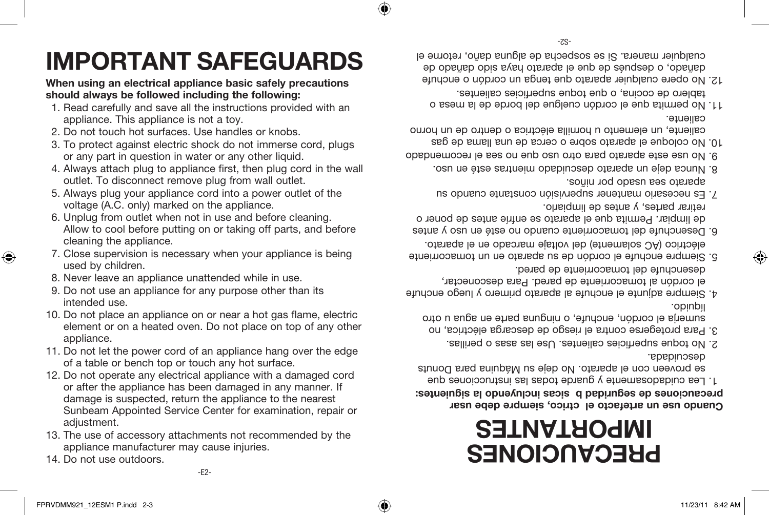⊕

14. Do not use outdoors.

⊕

-E2-

- 13. The use of accessory attachments not recommended by the appliance manufacturer may cause injuries.
- 12. Do not operate any electrical appliance with a damaged cord or after the appliance has been damaged in any manner. If damage is suspected, return the appliance to the nearest Sunbeam Appointed Service Center for examination, repair or adiustment.
- of a table or bench top or touch any hot surface.
- appliance. 11. Do not let the power cord of an appliance hang over the edge
- 10. Do not place an appliance on or near a hot gas flame, electric element or on a heated oven. Do not place on top of any other
- 9. Do not use an appliance for any purpose other than its intended use.
- 8. Never leave an appliance unattended while in use.
- 7. Close supervision is necessary when your appliance is being used by children.
- Allow to cool before putting on or taking off parts, and before cleaning the appliance.
- voltage (A.C. only) marked on the appliance. 6. Unplug from outlet when not in use and before cleaning.
- outlet. To disconnect remove plug from wall outlet. 5. Always plug your appliance cord into a power outlet of the
- or any part in question in water or any other liquid. 4. Always attach plug to appliance first, then plug cord in the wall
- 3. To protect against electric shock do not immerse cord, plugs
- 2. Do not touch hot surfaces. Use handles or knobs.
- 1. Read carefully and save all the instructions provided with an appliance. This appliance is not a toy.
- **should always be followed including the following:**
- 
- 
- **When using an electrical appliance basic safely precautions**

# **IMPORTANT SAFEGUARDS**

# **PRECAUCIONES IMPORTANTES**

#### **Cuando use un artefacto eléctrico, siempre debe usar precauciones de seguridad básicas incluyendo la siguientes:**

- Lea cuidadosamente y guarde todas las instrucciones que 1. se buoneen cou el aparato. No deje su Maquina para Donuts descuidada.
- No toque superficies calientes. Use las asas o perillas. 2.
- Para protegerse contra el riesgo de descarga eléctrica, no 3. simuale el cordon, enchufe, o ninguna parte en agua u otro líquido.
- Siempre adjunte el enchufe al aparato primero y luego enchufe 4. el cordón al tomacorriente de pared. Para desconectar, desenchufe del tomacorriente de pared.
- Siempre enchufe el cordón de su aparato en un tomacorriente 5. eléctrico (AC solamente) del voltaje marcado en el aparato.
- Desenchufe del tomacorriente cuando no esté en uso y antes 6. de limpiar. Permita que el aparato se enfríe antes de poner o retirar partes, y antes de limpiarlo.
- Es necesario mantener supervisión constante cuando su 7. aparato sea usado por niños.
- Nunca deje un aparato descuidado mientras esté en uso. 8.
- No use este aparato para otro uso que no sea el recomendado 9.
- No coloque el aparato sobre o cerca de una llama de gas 10. caliente, un elemento u hornilla electrica o dentro de un horno caliente.
- No permita que el cordón cuelgue del borde de la mesa o 11. tablero de cocina, o que todue superficies calientes.
- 12. No opere cualquier aparato que tenga un cordón o enchute dañado, o después de que el aparato haya sido dañado de cualquier manera. Si se sospecha de alguna daño, retorne el

♠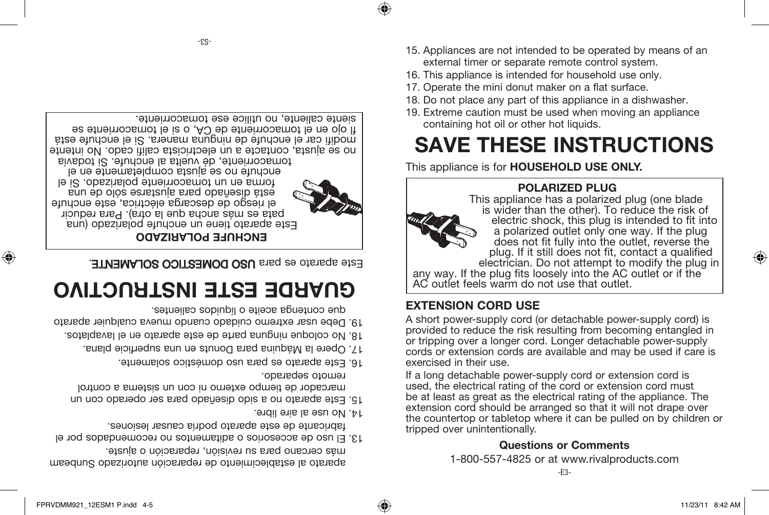⊕



⊕

aparato al establecimiento de reparación autorizado Sunbeam más cercano para su revisión, reparación o ajuste. El uso de accesorios o aditamentos no recomendados por el 13.

- fabricante de este aparato podría causar lesiones.
- 14. No use al aire libre.
- Este aparato no a sido diseñado para ser operado con un 15. marcador de tiempo externo ni con un sistema a control remoto separado.
- Este aparato es para uso doméstico solamente. 16.
- Opere la Máquina para Donuts en una superficie plana. 17.
- No coloque ninguna parte de este aparato en el lavaplatos. 18.
- Debe usar extremo cuidado cuando mueva cualquier aparato 19. que contenga aceite o líquidos calientes.

## **GUARDE ESTE INSTRUCTIVO**

Este aparato es para USO DOMESTICO SOLAMENTE.

### **ENCHUFE POLARIZADO**

Este aparato tiene un enchufe polarizado (una pata es más ancha que la otra). Para reducir el riesgo de descarga eléctrica, este enchufe está diseñado para ajustarse sólo de una forma en un tomacorriente polarizado. Si el enchufe no se alusta completamente en el tomacorriente, dé vuelta al enchufe. Si todavía

♠

no se ajusta, contacte a un electricista califi cado. No intente modifi car el enchufe de ninguna manera. Si el enchufe está fl ojo en el tomacorriente de CA, o si el tomacorriente se siente caliente, no utilice ese tomacorriente. 15. Appliances are not intended to be operated by means of an external timer or separate remote control system.

**SAVE THESE INSTRUCTIONS**

- 16. This appliance is intended for household use only.
- 17. Operate the mini donut maker on a flat surface.

containing hot oil or other hot liquids.

18. Do not place any part of this appliance in a dishwasher. 19. Extreme caution must be used when moving an appliance

- 
- 
- 
- 
- 
- 
- 
- 
- 
- 
- 

plug. If it still does not fit, contact a qualified electrician. Do not attempt to modify the plug in any way. If the plug fits loosely into the AC outlet or if the AC outlet feels warm do not use that outlet.

electric shock, this plug is intended to fit into a polarized outlet only one way. If the plug does not fit fully into the outlet, reverse the

**EXTENSION CORD USE**

A short power-supply cord (or detachable power-supply cord) is provided to reduce the risk resulting from becoming entangled in or tripping over a longer cord. Longer detachable power-supply cords or extension cords are available and may be used if care is exercised in their use.

If a long detachable power-supply cord or extension cord is used, the electrical rating of the cord or extension cord must be at least as great as the electrical rating of the appliance. The extension cord should be arranged so that it will not drape over the countertop or tabletop where it can be pulled on by children or tripped over unintentionally.

### **Questions or Comments**

1-800-557-4825 or at www.rivalproducts.com



-S3-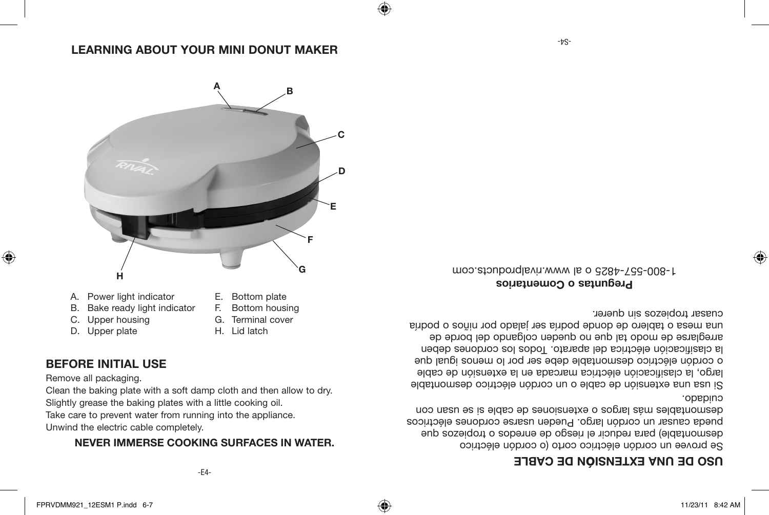-E4-

Unwind the electric cable completely.

Clean the baking plate with a soft damp cloth and then allow to dry. Slightly grease the baking plates with a little cooking oil. Take care to prevent water from running into the appliance.

- 
- Remove all packaging.

⊕

- **BEFORE INITIAL USE**
- C. Upper housing D. Upper plate

B. Bake ready light indicator

- H. Lid latch
- G. Terminal cover
- F. Bottom housing
- E. Bottom plate



### **N DE ONTEXAGION DE CYBLE**

Se provee un cordón eléctrico corto (o cordón eléctrico desmontable) para reducir el riesgo de enredos o tropiezos que pueda causar un cordón largo. Pueden usarse cordones eléctricos desmontables más largos o extensiones de cable si se usan con cuidado.

Si usa una extensión de cable o un cordón eléctrico desmontable largo, la clasificación eléctrica marcada en la extensión de cable o cordón eléctrico desmontable debe ser por lo menos igual que la clasificación eléctrica del aparato. Todos los cordones deben arreglarse de modo tal que no queden colgando del borde de una mesa o tablero de donde podría ser jalado por niños o podría cuasar tropiezos sin querer.

**Preguntas o Comentarios** 1-800-557-4825 o al www.rivalproducts.com

### **LEARNING ABOUT YOUR MINI DONUT MAKER**

**A**

**D**

**E**

**F**

**C**

⊕

**B**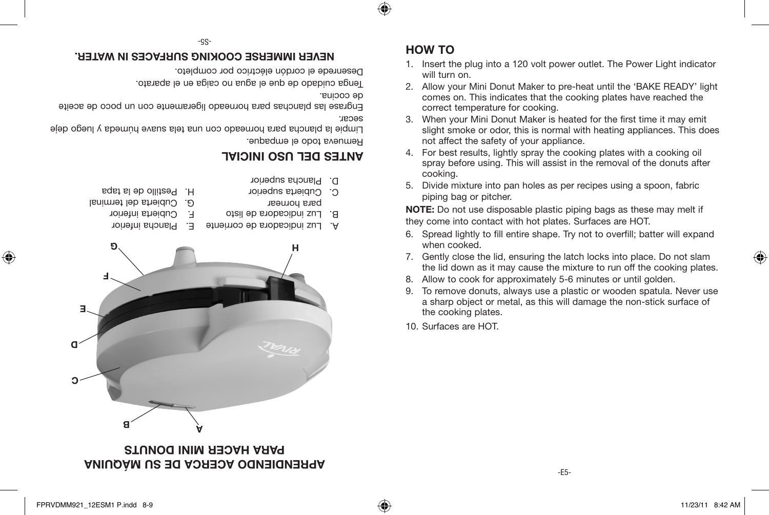◈

-S5-

## **NEVER IMMERSE COOKING SURFACES IN WATER. HOW TO**

Desenrede el cordón eléctrico por completo.

Tenga cuidado de que el agua no caiga en el aparato.

de cocina.

secar. Engrase las planchas para horneado ligeramente con un poco de aceite

Remueva todo el empaque. Limpie la plancha para horneado con una tela suave húmeda y luego deje

### **ANTES DEL USO INICIAL**



### **APRENDIENDO ACERCA DE SU MAQUINA PARA HACER MINI DONUTS**

- 1. Insert the plug into a 120 volt power outlet. The Power Light indicator will turn on.
- 2. Allow your Mini Donut Maker to pre-heat until the 'BAKE READY' light comes on. This indicates that the cooking plates have reached the correct temperature for cooking.
- 3. When your Mini Donut Maker is heated for the first time it may emit slight smoke or odor, this is normal with heating appliances. This does not affect the safety of your appliance.
- 4. For best results, lightly spray the cooking plates with a cooking oil spray before using. This will assist in the removal of the donuts after cooking.
- 5. Divide mixture into pan holes as per recipes using a spoon, fabric piping bag or pitcher.

**NOTE:** Do not use disposable plastic piping bags as these may melt if they come into contact with hot plates. Surfaces are HOT.

- 6. Spread lightly to fill entire shape. Try not to overfill; batter will expand when cooked.
- 7. Gently close the lid, ensuring the latch locks into place. Do not slam the lid down as it may cause the mixture to run off the cooking plates.
- 8. Allow to cook for approximately 5-6 minutes or until golden.
- 9. To remove donuts, always use a plastic or wooden spatula. Never use a sharp object or metal, as this will damage the non-stick surface of the cooking plates.

-E5-

10. Surfaces are HOT.

⊕

♠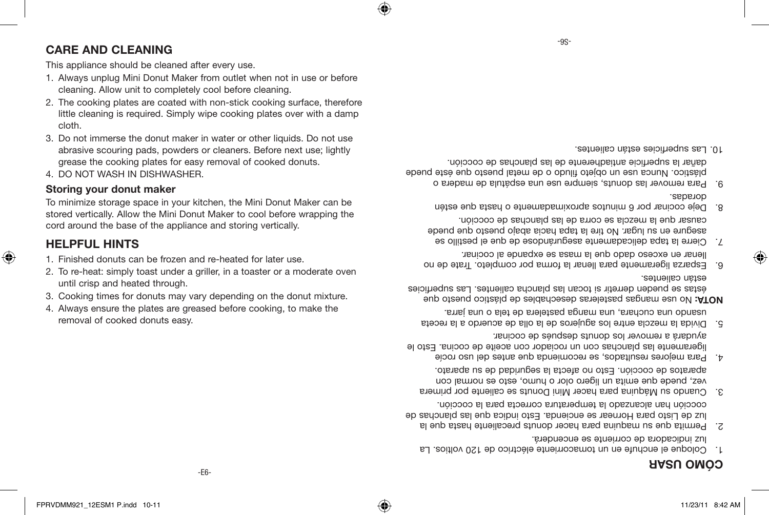### **MO USAR ÓC**

- Coloque el enchute en un tomacorriente eléctrico de 120 voltios. La luz indicadora de corriente se encenderá.
- Permita que su maquina para hacer donuts precaliente hasta que la 2. luz de Listo para Hornear se encienda. Esto indica que las planchas de cocción han alcanzado la temperatura correcta para la cocción.
- Cuando su Máquina para hacer Mini Donuts se caliente por primera 3. vez, puede que emita un ligero olor o humo, esto es normal con aparatos de cocción. Esto no afecta la seguridad de su aparato.
- Para mejores resultados, se recomienda que antes del uso rocíe 4. ligeramente las planchas con un rociador con aceite de cocina. Esto le ayudará a remover los donuts después de cocinar.
- Divida la mezcla entre los agujeros de la olla de acuerdo a la receta 5. usando una cuchara, una manga pastelera de tela o una jarra.

 No use mangas pasteleras desechables de plástico puesto que **NOTA:** éstas se pueden derretir si tocan las plancha calientes. Las superficies estan calientes.

- e. Esparza ligeramente para lienar la forma por completo. Irate de no llenar en exceso dado que la masa se expande al cocinar.
- Cierre la tapa delicadamente asegurándose de que el pestillo se 7. asegure en su lugar. No tire la tapa hacia abajo puesto que puede causar que la mezcla se corra de las planchas de cocción.
- Deje cocinar por 6 minutos aproximadamente o hasta que estén 8. doradas.
- Para remover las donuts, siempre use una espátula de madera o 9. plástico. Nunca use un objeto filudo o de metal puesto que éste puede dañar la superficie antiadherente de las planchas de cocción.

 $-9S-$ 

⊕

Las superficies están calientes. 10.

This appliance should be cleaned after every use.

- 1. Always unplug Mini Donut Maker from outlet when not in use or before
- cleaning. Allow unit to completely cool before cleaning.
- 
- 
- 2. The cooking plates are coated with non-stick cooking surface, therefore little cleaning is required. Simply wipe cooking plates over with a damp cloth.
- 
- 
- 

3. Do not immerse the donut maker in water or other liquids. Do not use abrasive scouring pads, powders or cleaners. Before next use; lightly grease the cooking plates for easy removal of cooked donuts.

To minimize storage space in your kitchen, the Mini Donut Maker can be stored vertically. Allow the Mini Donut Maker to cool before wrapping the

2. To re-heat: simply toast under a griller, in a toaster or a moderate oven

3. Cooking times for donuts may vary depending on the donut mixture. 4. Always ensure the plates are greased before cooking, to make the

cord around the base of the appliance and storing vertically.

1. Finished donuts can be frozen and re-heated for later use.

**CARE AND CLEANING**

4. DO NOT WASH IN DISHWASHER. **Storing your donut maker**

until crisp and heated through.

removal of cooked donuts easy.

**HELPFUL HINTS**

⊕

⊕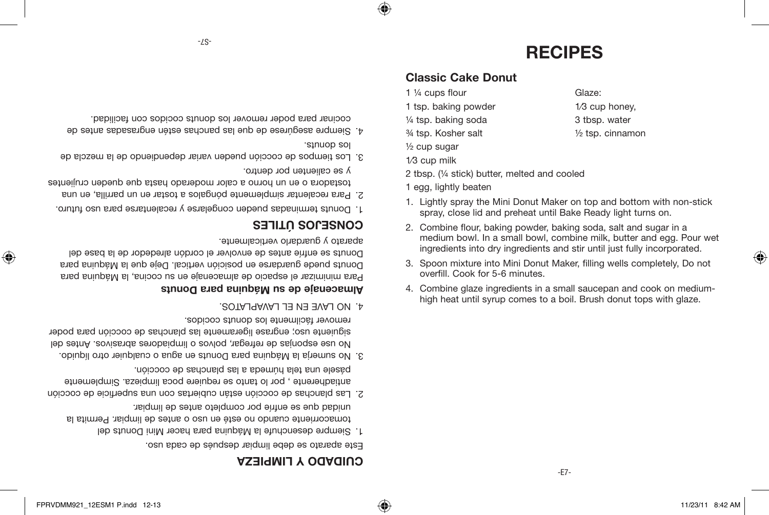♠

♠

### **CUIDADO Y LIMPIEZA**

Este aparato se debe limpiar después de cada uso.

- Siempre desenchufe la Máquina para hacer Mini Donuts del 1. tomacorriente cuando no esté en uso o antes de limpiar. Permita la unidad que se enfríe por completo antes de limpiar.
- Las planchas de cocción están cubiertas con una superficie de cocción 2. antiadherente , por lo tanto se requiere poca limpieza. Simplemente pásele una tela húmeda a las planchas de cocción.
- No sumerja la Máquina para Donuts en agua o cualquier otro líquido. 3. No use esponjas de refregar, polvos o limpiadores abrasivos. Antes del siguiente uso; engrase ligeramente las planchas de cocción para poder remover fácilmente los donuts cocidos.
- NO LAVE EN EL LAVAPLATOS. 4.

#### **quina para Donuts á Almacenaje de su M**

Para minimizar el espacio de almacenaje en su cocina, la Máquina para Donuts puede guardarse en posición vertical. Deje que la Máquina para Donuts se enfríe antes de envolver el cordón alrededor de la base del aparato y guardarlo verticalmente.

### **TILES Ú CONSEJOS**

- Donuts terminadas pueden congelarse y recalentarse para uso futuro. 1.
- Para recalentar simplemente póngalos a tostar en un parrilla, en una 2. tostadora o en un horno a calor moderado hasta que queden crujientes
- y se calienten por dentro.
- Los tiempos de cocción pueden variar dependiendo de la mezcla de 3. los donuts.
- Siempre asegúrese de que las panchas estén engrasadas antes de 4. cocinar para poder remover los donuts cocidos con facilidad.
- 4. Combine glaze ingredients in a small saucepan and cook on mediumhigh heat until syrup comes to a boil. Brush donut tops with glaze.
- 3. Spoon mixture into Mini Donut Maker, filling wells completely, Do not overfill. Cook for 5-6 minutes.
- 2. Combine flour, baking powder, baking soda, salt and sugar in a medium bowl. In a small bowl, combine milk, butter and egg. Pour wet ingredients into dry ingredients and stir until just fully incorporated.
- 1. Lightly spray the Mini Donut Maker on top and bottom with non-stick spray, close lid and preheat until Bake Ready light turns on.
- 1 egg, lightly beaten
- 2 tbsp. (¼ stick) butter, melted and cooled
- 1⁄3 cup milk
- ½ cup sugar
- $\frac{3}{4}$  tsp. Kosher salt  $\frac{1}{2}$  tsp. cinnamon
- $\frac{1}{4}$  tsp. baking soda  $\frac{3}{4}$  tbsp. water
- 1 tsp. baking powder 1/3 cup honey,
- 
- 1 <sup>1</sup>/<sub>4</sub> cups flour Glaze:

⊕

- **Classic Cake Donut**
- **RECIPES**

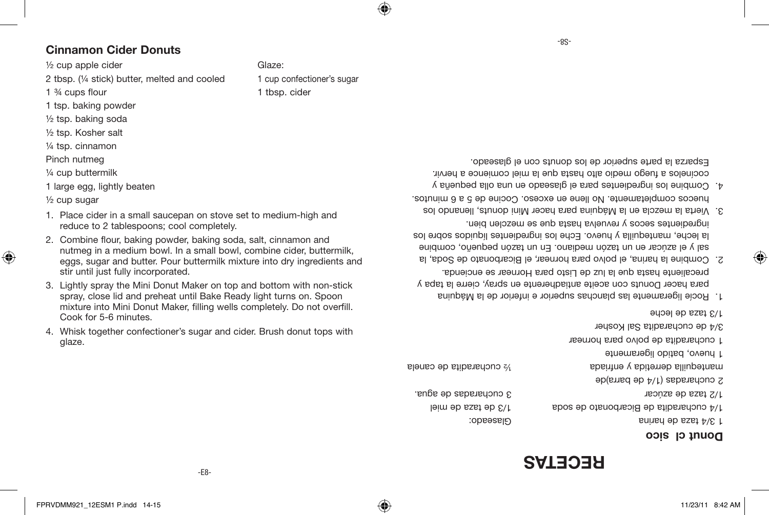### **RECETAS**

#### Donut cl<sub>3</sub>

1/3 taza de leche

| 3/4 de cucharadita Sal Kosher          |                            |
|----------------------------------------|----------------------------|
| 1 cucharadita de polvo para hornear    |                            |
| d huevo, batido ligeramente            |                            |
| mantequilla derretida y enfriada       | $\%$ cucharadita de canela |
| 9 eucharadas (1/4 de barra)de          |                            |
| 1/2 taza de azúcar                     | 3 cucharadas de agua.      |
| 1/4 cucharadita de Bicarbonato de soda | 1/3 de taza de miel        |
| 5/4 taza de harina                     | Glaseado:                  |
|                                        |                            |

- Rocíe ligeramente las planchas superior e inferior de la Máquina 1. para hacer Donuts con aceite antiadherente en spray, cierre la tapa y precaliente hasta que la luz de Listo para Hornear se encienda.
- Combine la harina, el polvo para hornear, el Bicarbonato de Soda, la 2. sal y el azúcar en un tazón mediano. En un tazón pequeño, combine la leche, mantequilla y huevo. Eche los ingredientes líquidos sobre los ingredientes secos y revuelva hasta que se mezclen bien.
- Vierta la mezcla en la Máquina para hacer Mini donuts, llenando los 3. huecos completamente. No llene en exceso. Cocine de 5 a 6 minutos.
- Combine los ingredientes para el glaseado en una olla pequeña y 4. cocínelos a fuego medio alto hasta que la miel comience a hervir. Esparza la parte superior de los donuts con el glaseado.

2 tbsp. (1/4 stick) butter, melted and cooled 1 cup confectioner's sugar 1 <sup>3</sup>/<sub>4</sub> cups flour 1 tbsp. cider

#### **Cinnamon Cider Donuts**

1 tsp. baking powder ½ tsp. baking soda ½ tsp. Kosher salt ¼ tsp. cinnamon Pinch nutmeg ¼ cup buttermilk 1 large egg, lightly beaten

½ cup sugar

⊕

glaze.

- $\frac{1}{2}$  cup apple cider  $\frac{1}{2}$  cup apple cider
- 

FPRVDMM921\_12ESM1 P.indd 14-15 11/23/11 8:42 AM

-E8-

1. Place cider in a small saucepan on stove set to medium-high and

2. Combine flour, baking powder, baking soda, salt, cinnamon and nutmeg in a medium bowl. In a small bowl, combine cider, buttermilk, eggs, sugar and butter. Pour buttermilk mixture into dry ingredients and

3. Lightly spray the Mini Donut Maker on top and bottom with non-stick spray, close lid and preheat until Bake Ready light turns on. Spoon mixture into Mini Donut Maker, filling wells completely. Do not overfill.

4. Whisk together confectioner's sugar and cider. Brush donut tops with

reduce to 2 tablespoons; cool completely.

stir until just fully incorporated.

Cook for 5-6 minutes.

⊕

-8S-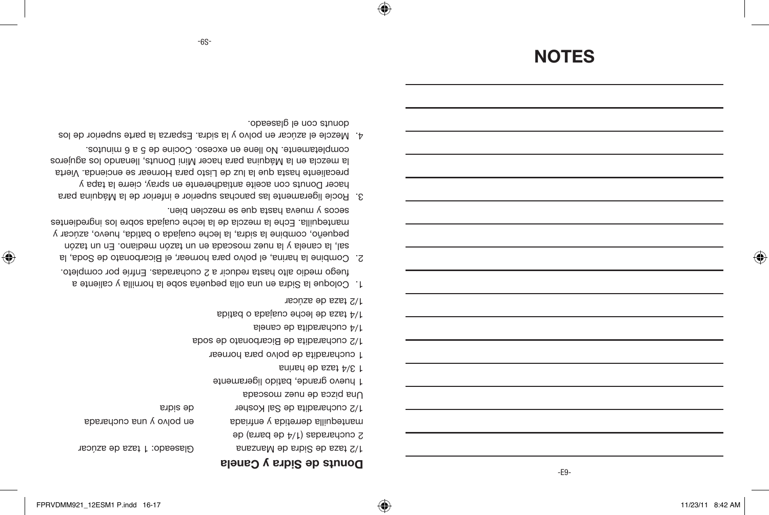⊕

⊕

-E9-

#### Glaseado: 1 taza de azúcar 1/2 taza de Sidra de Manzana

manteduilla derretida y enfriada mantequilla derretida y en enfriada y una cucharada

de sidra 1/2 cucharadita de Sal Kosher

1 huevo grande, batido ligeramente

**Donuts de Sidra y Canela**

2 cucharadas (1/4 de barra) de

Una pizca de nuez moscada

1 3/4 taza de harina

1 cucharadita de polvo para hornear

1/2 cucharadita de Bicarbonato de soda

1/4 cucharadita de canela

1/4 taza de leche cuajada o batida

1/2 taza de azúcar

⊕

- Coloque la Sidra en una olla pequeña sobe la hornilla y caliente a 1. fuego medio alto hasta reducir a 2 cucharadas. Enfríe por completo.
- Combine la harina, el polvo para hornear, el Bicarbonato de Soda, la 2. sal, la canela y la nuez moscada en un tazón mediano. En un tazón pequeño, combine la sidra, la leche cuajada o batida, huevo, azúcar y mantequilla. Eche la mezcla de la leche cuajada sobre los ingredientes secos  $\lambda$  uneva pasta que se mezclen bien.
- Rocíe ligeramente las panchas superior e inferior de la Máquina para 3. hacer Donuts con aceite antiadherente en spray, cierre la tapa y precaliente hasta que la luz de Listo para Hornear se encienda. Vierta la mezcla en la Máquina para hacer Mini Donuts, llenando los agujeros completamente. No llene en exceso. Cocine de 5 a 6 minutos.
- Mezcle el azúcar en polvo y la sidra. Esparza la parte superior de los 4. donuts con el glaseado.

# **NOTES**

-S9-